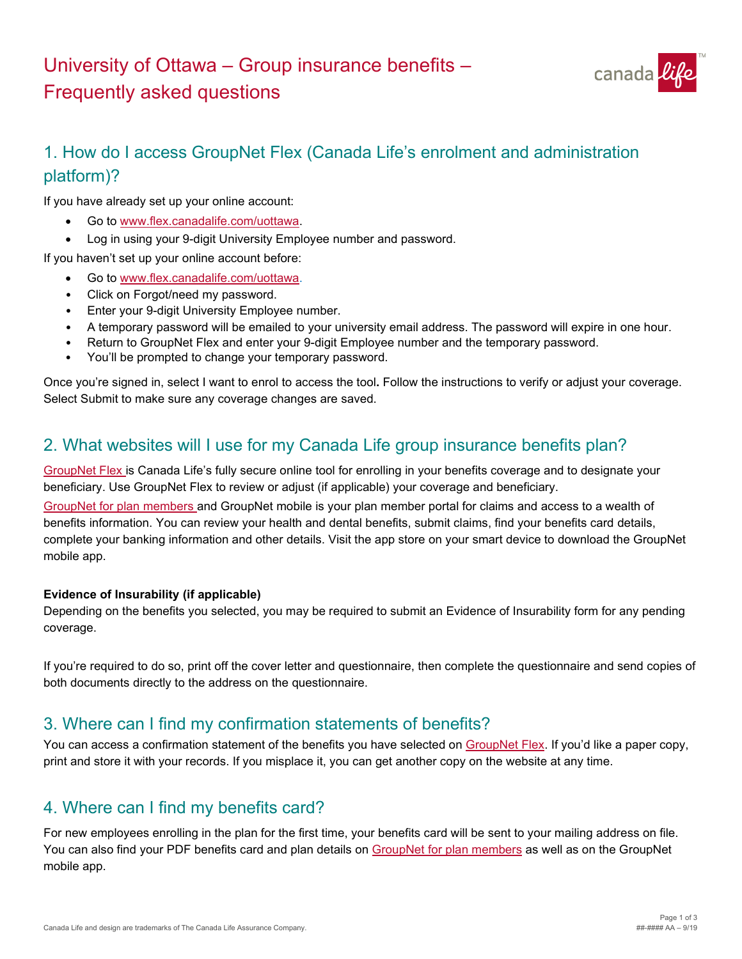# University of Ottawa – Group insurance benefits – Frequently asked questions



# 1. How do I access GroupNet Flex (Canada Life's enrolment and administration platform)?

If you have already set up your online account:

- Go to [www.flex.canadalife.com/uottawa](https://www.flex.canadalife.com/uottawa).
- Log in using your 9-digit University Employee number and password.

If you haven't set up your online account before:

- Go to [www.flex.canadalife.com/uottawa](https://www.flex.canadalife.com/uottawa).
- Click on Forgot/need my password.
- Enter your 9-digit University Employee number.
- A temporary password will be emailed to your university email address. The password will expire in one hour.
- Return to GroupNet Flex and enter your 9-digit Employee number and the temporary password.
- You'll be prompted to change your temporary password.

Once you're signed in, select I want to enrol to access the tool**.** Follow the instructions to verify or adjust your coverage. Select Submit to make sure any coverage changes are saved.

### 2. What websites will I use for my Canada Life group insurance benefits plan?

[GroupNet Flex](https://www.app.flex.canadalife.com/uOttawa/login) is Canada Life's fully secure online tool for enrolling in your benefits coverage and to designate your beneficiary. Use GroupNet Flex to review or adjust (if applicable) your coverage and beneficiary.

[GroupNet for plan members](https://gwl.greatwestlife.com/MyLogin?lang=en_CA) and GroupNet mobile is your plan member portal for claims and access to a wealth of benefits information. You can review your health and dental benefits, submit claims, find your benefits card details, complete your banking information and other details. Visit the app store on your smart device to download the GroupNet mobile app.

#### **Evidence of Insurability (if applicable)**

Depending on the benefits you selected, you may be required to submit an Evidence of Insurability form for any pending coverage.

If you're required to do so, print off the cover letter and questionnaire, then complete the questionnaire and send copies of both documents directly to the address on the questionnaire.

#### 3. Where can I find my confirmation statements of benefits?

You can access a confirmation statement of the benefits you have selected on [GroupNet Flex](https://www.app.flex.canadalife.com/uOttawa/login). If you'd like a paper copy, print and store it with your records. If you misplace it, you can get another copy on the website at any time.

### 4. Where can I find my benefits card?

For new employees enrolling in the plan for the first time, your benefits card will be sent to your mailing address on file. You can also find your PDF benefits card and plan details on [GroupNet for plan members](https://gwl.greatwestlife.com/MyLogin?lang=en_CA) as well as on the GroupNet mobile app.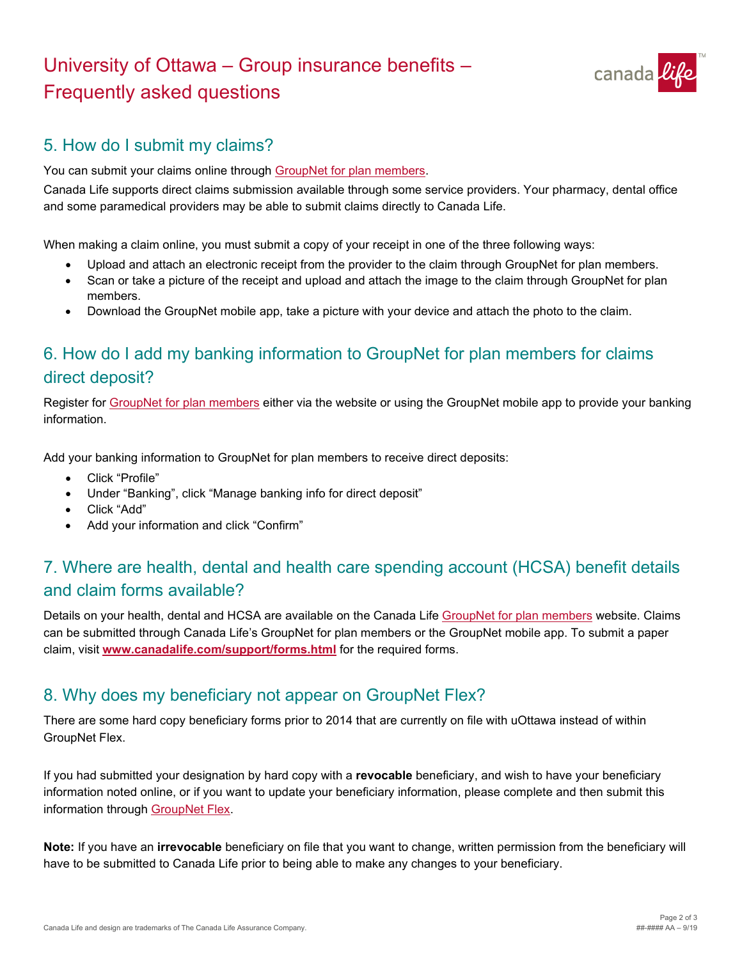# University of Ottawa – Group insurance benefits – Frequently asked questions



## 5. How do I submit my claims?

You can submit your claims online through [GroupNet for plan members](https://gwl.greatwestlife.com/MyLogin?lang=en_CA).

Canada Life supports direct claims submission available through some service providers. Your pharmacy, dental office and some paramedical providers may be able to submit claims directly to Canada Life.

When making a claim online, you must submit a copy of your receipt in one of the three following ways:

- Upload and attach an electronic receipt from the provider to the claim through GroupNet for plan members.
- Scan or take a picture of the receipt and upload and attach the image to the claim through GroupNet for plan members.
- Download the GroupNet mobile app, take a picture with your device and attach the photo to the claim.

# 6. How do I add my banking information to GroupNet for plan members for claims direct deposit?

Register for [GroupNet for plan members](https://gwl.greatwestlife.com/MyLogin?lang=en_CA) either via the website or using the GroupNet mobile app to provide your banking information.

Add your banking information to GroupNet for plan members to receive direct deposits:

- Click "Profile"
- Under "Banking", click "Manage banking info for direct deposit"
- Click "Add"
- Add your information and click "Confirm"

# 7. Where are health, dental and health care spending account (HCSA) benefit details and claim forms available?

Details on your health, dental and HCSA are available on the Canada Life GroupNet [for plan members](https://gwl.greatwestlife.com/MyLogin?lang=en_CA) website. Claims can be submitted through Canada Life's GroupNet for plan members or the GroupNet mobile app. To submit a paper claim, visit **[www.canadalife.com/support/forms.html](http://www.canadalife.com/support/forms.html)** for the required forms.

### 8. Why does my beneficiary not appear on GroupNet Flex?

There are some hard copy beneficiary forms prior to 2014 that are currently on file with uOttawa instead of within GroupNet Flex.

If you had submitted your designation by hard copy with a **revocable** beneficiary, and wish to have your beneficiary information noted online, or if you want to update your beneficiary information, please complete and then submit this information through [GroupNet Flex.](https://www.app.flex.canadalife.com/uOttawa/login)

**Note:** If you have an **irrevocable** beneficiary on file that you want to change, written permission from the beneficiary will have to be submitted to Canada Life prior to being able to make any changes to your beneficiary.